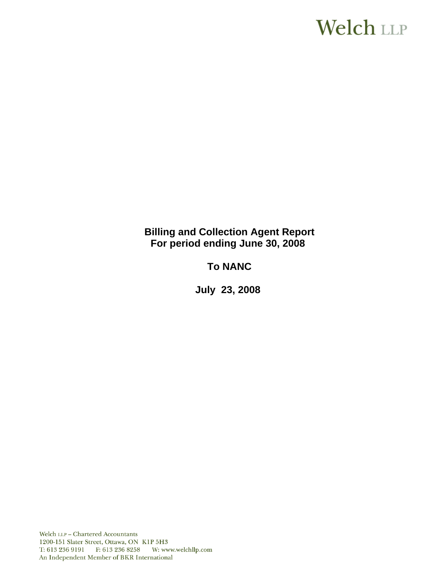# Welch LLP

**Billing and Collection Agent Report For period ending June 30, 2008**

**To NANC** 

 **July 23, 2008**

Welch LLP - Chartered Accountants 1200-151 Slater Street, Ottawa, ON K1P 5H3 T: 613 236 9191 F: 613 236 8258 W: www.welchllp.com An Independent Member of BKR International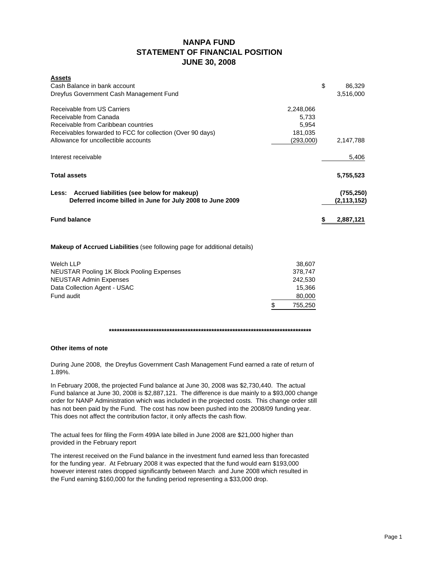# **NANPA FUND STATEMENT OF FINANCIAL POSITION JUNE 30, 2008**

| <b>Assets</b>                                                                    |           |                 |
|----------------------------------------------------------------------------------|-----------|-----------------|
| Cash Balance in bank account                                                     |           | \$<br>86,329    |
| Dreyfus Government Cash Management Fund                                          |           | 3,516,000       |
| Receivable from US Carriers                                                      | 2,248,066 |                 |
| Receivable from Canada                                                           | 5,733     |                 |
| Receivable from Caribbean countries                                              | 5,954     |                 |
| Receivables forwarded to FCC for collection (Over 90 days)                       | 181,035   |                 |
| Allowance for uncollectible accounts                                             | (293,000) | 2,147,788       |
| Interest receivable                                                              |           | 5,406           |
| <b>Total assets</b>                                                              |           | 5,755,523       |
| Less: Accrued liabilities (see below for makeup)                                 |           | (755, 250)      |
| Deferred income billed in June for July 2008 to June 2009                        |           | (2, 113, 152)   |
| <b>Fund balance</b>                                                              |           | 2,887,121<br>s. |
| <b>Makeup of Accrued Liabilities</b> (see following page for additional details) |           |                 |

| Welch LLP                                        | 38.607  |
|--------------------------------------------------|---------|
| <b>NEUSTAR Pooling 1K Block Pooling Expenses</b> | 378.747 |
| <b>NEUSTAR Admin Expenses</b>                    | 242.530 |
| Data Collection Agent - USAC                     | 15.366  |
| Fund audit                                       | 80,000  |
|                                                  | 755,250 |

**\*\*\*\*\*\*\*\*\*\*\*\*\*\*\*\*\*\*\*\*\*\*\*\*\*\*\*\*\*\*\*\*\*\*\*\*\*\*\*\*\*\*\*\*\*\*\*\*\*\*\*\*\*\*\*\*\*\*\*\*\*\*\*\*\*\*\*\*\*\*\*\*\*\*\*\*\***

## **Other items of note**

During June 2008, the Dreyfus Government Cash Management Fund earned a rate of return of 1.89%.

In February 2008, the projected Fund balance at June 30, 2008 was \$2,730,440. The actual Fund balance at June 30, 2008 is \$2,887,121. The difference is due mainly to a \$93,000 change order for NANP Administration which was included in the projected costs. This change order still has not been paid by the Fund. The cost has now been pushed into the 2008/09 funding year. This does not affect the contribution factor, it only affects the cash flow.

The actual fees for filing the Form 499A late billed in June 2008 are \$21,000 higher than provided in the February report

The interest received on the Fund balance in the investment fund earned less than forecasted for the funding year. At February 2008 it was expected that the fund would earn \$193,000 however interest rates dropped significantly between March and June 2008 which resulted in the Fund earning \$160,000 for the funding period representing a \$33,000 drop.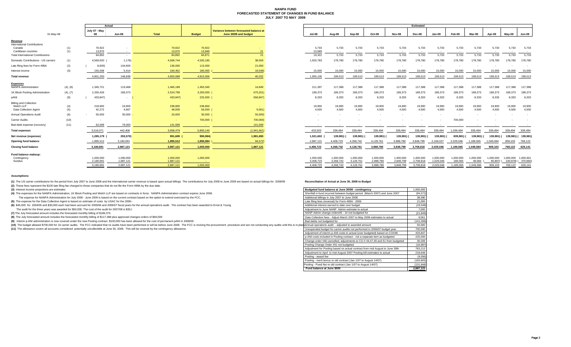### **NANPA FUND FORECASTED STATEMENT OF CHANGES IN FUND BALANCE JULY 2007 TO MAY 2009**

|                                              |          |                            | Actual                   |           |               |                                                                 |                 |                 |           |                 |           | Estimated       |           |           |                 |            |                 |                     |
|----------------------------------------------|----------|----------------------------|--------------------------|-----------|---------------|-----------------------------------------------------------------|-----------------|-----------------|-----------|-----------------|-----------|-----------------|-----------|-----------|-----------------|------------|-----------------|---------------------|
| 31-May-08                                    |          | July 07 - May<br><b>OR</b> | <b>Jun-08</b>            | Total     | <b>Budget</b> | Variance between forecasted balance at<br>June 30/08 and budget | Jul-08          | Aug-08          | Sep-08    | Oct-08          | Nov-08    | Dec-08          | Jan-09    | Feb-09    | Mar-09          | Apr-09     | May-09          | <b>Jun-09</b>       |
| Revenue                                      |          |                            |                          |           |               |                                                                 |                 |                 |           |                 |           |                 |           |           |                 |            |                 |                     |
| <b>International Contributions</b><br>Canada | (1)      | 70,922                     |                          | 70,922    | 70,922        |                                                                 | 5,733           | 5,733           | 5,733     | 5,733           | 5,733     | 5,733           | 5,733     | 5,733     | 5,733           | 5,733      | 5,733           | 5,733               |
| Caribbean countries                          | (1)      | 13,970                     | $\sim$                   | 13,970    | 13,949        |                                                                 | 13,589          | $\sim$          | $\sim$    | $\sim$          | $\sim$    | $\sim$          | $\sim$    | $\sim$    | $\sim$          |            |                 |                     |
| <b>Total International Contributions</b>     |          | 84,892                     | $\sim$                   | 84,892    | 84,871        | 21                                                              | 19,322          | 5,733           | 5,733     | 5,733           | 5,733     | 5,733           | 5,733     | 5,733     | 5,733           | 5,733      | 5,733           | 5,733               |
| Domestic Contributions - US carriers         | (1)      | 4,569,920                  | 1,176)                   | 4,568,744 | 4,530,185     | 38,559                                                          | 1,920,783       | 178,780         | 178,780   | 178,780         | 178,780   | 178,780         | 178,780   | 178,780   | 178,780         | 178,780    | 178,780         | 178,780             |
| Late filing fees for Form 499A               | (2)      | 8,600)                     | 144,600                  | 136,000   | 115,000       | 21,000                                                          |                 |                 |           | $\sim$          | $\sim$    |                 |           | $\sim$    |                 |            |                 |                     |
| Interest income                              | (3)      | 155,038                    | 5,414                    | 160,452   | 180,000       | 19,548)                                                         | 15,000          | 15,000          | 15,000    | 15,000          | 15,000    | 15,000          | 15,000    | 15,000    | 15,000          | 15,000     | 15,000          | 15,000              |
| <b>Total revenue</b>                         |          | 4,801,250                  | 148,838                  | 4,950,088 | 4,910,056     | 40,032                                                          | 1,955,105       | 199,513         | 199,513   | 199,513         | 199,513   | 199,513         | 199,513   | 199,513   | 199,513         | 199,513    | 199,513         | 199,513             |
| <b>Expenses</b>                              |          |                            |                          |           |               |                                                                 |                 |                 |           |                 |           |                 |           |           |                 |            |                 |                     |
| <b>NANPA Administration</b>                  | (4), (8) | 1,345,721                  | 119,468                  | 1,465,189 | 1,450,340     | 14,849                                                          | 211,397         | 117,388         | 117,388   | 117,388         | 117,388   | 117,388         | 117,388   | 117,388   | 117.388         | 117,388    | 117,388         | 117,388             |
| 1K Block Pooling Administration              | (4), (7) | 2,335,426                  | 189,373                  | 2,524,799 | 3,200,000     | 675,201)                                                        | 189,373         | 189.373         | 189.373   | 189.373         | 189,373   | 189,373         | 189,373   | 189,373   | 189,373         | 189.373    | 189,373         | 189,373             |
| pANI                                         | (9)      | 433,847)                   | $\sim$                   | 433,847)  | 225,000 (     | 658,847)                                                        | 8,333           | 8,333           | 8,333     | 8,333           | 8,333     | 8,333           | 8,333     | 8,333     | 8,333           | 8,333      | 8,333           | 8,333               |
| Billing and Collection                       |          |                            |                          |           |               |                                                                 |                 |                 |           |                 |           |                 |           |           |                 |            |                 |                     |
| Welch LLP                                    | (4)      | 218,900                    | 19,900                   | 238,800   | 238,800       |                                                                 | 19,900<br>4.500 | 19,900<br>4.500 | 19,900    | 19,900<br>4.500 | 19,900    | 19,900<br>4.500 | 19,900    | 19,900    | 19,900<br>4.500 | 19,900     | 19,900<br>4.500 | 19,900<br>4.500     |
| Data Collection Agent                        | (5)      | 42,272                     | 4,667                    | 46,939    | $56,000$ (    | 9,061                                                           |                 |                 | 4,500     |                 | 4,500     |                 | 4,500     | 4,500     |                 | 4,500      |                 |                     |
| <b>Annual Operations Audit</b>               | (6)      | 55,000                     | 30,000                   | 25,000    | $30,000$ (    | 55,000)                                                         |                 |                 |           |                 |           |                 |           |           |                 |            |                 |                     |
| Carrier Audits                               | (10)     |                            | $\overline{\phantom{a}}$ |           | 700,000 (     | 700,000)                                                        |                 |                 |           |                 |           |                 |           | 700,000   |                 |            |                 |                     |
| Bad debt expense (recovery)                  | (11)     | 62,599                     | 79,000                   | 141,599   |               | 141,599                                                         |                 |                 |           |                 |           |                 |           |           |                 |            |                 |                     |
| <b>Total expenses</b>                        |          | 3,516,071                  | 442,408                  | 3,958,479 | 5,900,140     | (1,941,661)                                                     | 433.503         | 339.494         | 339.494   | 339.494         | 339.494   | 339,494         | 339,494   | 1.039.494 | 339.494         | 339.494    | 339,494         | 339,494             |
| Net revenue (expenses)                       |          | 1,285,179 (                | 293,570)                 | 991,609 ( | 990,084)      | 1,981,693                                                       | 1,521,602       | 139.981)        | 139,981)  | 139,981)        | 139,981)  | 139,981)        | 139,981)  | 839,981)  | 139.981)        | 139,981) ( |                 | 139,981) ( 139,981  |
| <b>Opening fund balance</b>                  |          | 1,895,512                  | 3,180,691                | 1,895,512 | 1,990,084     | 94,572)                                                         | 2,887,121       | 4,408,723       | 4,268,742 | 4,128,761       | 3,988,780 | 3,848,799       | 2,169,027 | 2,029,046 | 1,189,065       | 1.049.084  | 909,103         | 769,122             |
| <b>Closing fund balance</b>                  |          | 3,180,691                  | 2,887,121                | 2,887,121 | 1,000,000     | 1.887.121                                                       | 4,408,723       | 4,268,742       | 4,128,761 | 3,988,780       | 3,848,799 | 3,708,818       | 2,029,046 | 1,189,065 | 1,049,084       | 909,103    | 769,122 629,141 |                     |
| Fund balance makeup:                         |          |                            |                          |           |               |                                                                 |                 |                 |           |                 |           |                 |           |           |                 |            |                 |                     |
| Contingency                                  |          | 1,000,000                  | 1,000,000                | 1,000,000 | 1,000,000     |                                                                 | 1,000,000       | 1,000,000       | 1,000,000 | 1,000,000       | 1,000,000 | 1,000,000       | 1,000,000 | 1,000,000 | 1,000,000       | 1,000,000  |                 | 1,000,000 1,000,001 |
| Surplus                                      |          | 2,180,691                  | 1,887,121                | 1,887,121 |               |                                                                 | 3.408.723       | 3,268,742       | 3,128,761 | 2,988,780       | 2,848,799 | 2,708,818       | 1.029.046 | 189.065   | 49.084          | 90,897) (  |                 | 230,878) (370,860   |
|                                              |          | 3.180.691                  | 2,887,121                | 2.887.121 | 1.000.000     |                                                                 | 4.408.723       | 4.268.742       | 4.128.761 | 3.988.780       | 3.848.799 | 3.708.818       | 2.029.046 | 1,189,065 | 1.049.084       | 909.103    | 769.122         | 629,141             |

| Actual           |               |                  |                  |                                                                 |                 |                 |                 |                          |                 | Estimated                |                 |                          |                 |                 |                          |                 |
|------------------|---------------|------------------|------------------|-----------------------------------------------------------------|-----------------|-----------------|-----------------|--------------------------|-----------------|--------------------------|-----------------|--------------------------|-----------------|-----------------|--------------------------|-----------------|
| 07 - May<br>08   | <b>Jun-08</b> | <b>Total</b>     | <b>Budget</b>    | Variance between forecasted balance at<br>June 30/08 and budget | Jul-08          | Aug-08          | Sep-08          | Oct-08                   | <b>Nov-08</b>   | Dec-08                   | $Jan-09$        | Feb-09                   | Mar-09          | Apr-09          | Mav-09                   | <b>Jun-09</b>   |
|                  |               |                  |                  |                                                                 |                 |                 |                 |                          |                 |                          |                 |                          |                 |                 |                          |                 |
| 70,922<br>13,970 | $\sim$        | 70,922<br>13,970 | 70,922<br>13,949 | 21                                                              | 5.733<br>13,589 | 5.733<br>$\sim$ | 5.733<br>$\sim$ | 5.733<br>$\sim$          | 5.733<br>$\sim$ | 5.733<br>$\sim$          | 5.733<br>$\sim$ | 5.733<br>$\sim$          | 5.733<br>$\sim$ | 5.733<br>$\sim$ | 5.733<br>$\sim$          | 5,733<br>$\sim$ |
| 84,892           |               | 84,892           | 84,871           | 21                                                              | 19,322          | 5,733           | 5,733           | 5,733                    | 5,733           | 5,733                    | 5,733           | 5,733                    | 5,733           | 5,733           | 5,733                    | 5,733           |
| 4,569,920        | 1.176)        | 4.568.744        | 4,530,185        | 38,559                                                          | 1,920,783       | 178,780         | 178,780         | 178,780                  | 178,780         | 178,780                  | 178,780         | 178,780                  | 178,780         | 178,780         | 178,780                  | 178,780         |
| 8,600)           | 144,600       | 136,000          | 115,000          | 21,000                                                          | $\sim$          |                 | $\sim$          | $\overline{\phantom{a}}$ |                 | $\overline{\phantom{a}}$ | $\sim$          | $\overline{\phantom{a}}$ | $\sim$          |                 |                          |                 |
| 155,038          | 5,414         | 160,452          | 180,000          | 19,548)                                                         | 15,000          | 15,000          | 15,000          | 15,000                   | 15,000          | 15,000                   | 15,000          | 15,000                   | 15,000          | 15,000          | 15,000                   | 15,000          |
| 4,801,250        | 148.838       | 4.950.088        | 4,910,056        | 40.032                                                          | 1,955,105       | 199,513         | 199,513         | 199,513                  | 199,513         | 199,513                  | 199,513         | 199,513                  | 199,513         | 199,513         | 199,513                  | 199,513         |
|                  |               |                  |                  |                                                                 |                 |                 |                 |                          |                 |                          |                 |                          |                 |                 |                          |                 |
| 1,345,721        | 119,468       | 1,465,189        | 1,450,340        | 14,849                                                          | 211,397         | 117,388         | 117,388         | 117,388                  | 117,388         | 117,388                  | 117,388         | 117,388                  | 117,388         | 117,388         | 117,388                  | 117,388         |
| 2,335,426        | 189.373       | 2,524,799        | 3,200,000 (      | 675,201)                                                        | 189,373         | 189,373         | 189,373         | 189,373                  | 189,373         | 189,373                  | 189,373         | 189,373                  | 189,373         | 189,373         | 189,373                  | 189,373         |
| 433,847)         | $\sim$        | 433,847)         | 225,000 (        | 658,847)                                                        | 8,333           | 8,333           | 8,333           | 8,333                    | 8,333           | 8,333                    | 8,333           | 8,333                    | 8,333           | 8,333           | 8,333                    | 8,333           |
|                  |               |                  |                  |                                                                 |                 |                 |                 |                          |                 |                          |                 |                          |                 |                 |                          |                 |
| 218,900          | 19,900        | 238,800          | 238,800          | <b>Contract</b>                                                 | 19,900          | 19,900          | 19,900          | 19,900                   | 19,900          | 19,900                   | 19,900          | 19,900                   | 19,900          | 19,900          | 19,900                   | 19,900          |
| 42,272           | 4,667         | 46,939           | $56,000$ (       | 9,061)                                                          | 4,500           | 4,500           | 4,500           | 4,500                    | 4,500           | 4,500                    | 4,500           | 4,500                    | 4,500           | 4,500           | 4,500                    | 4,500           |
| 55,000           | 30,000        | 25,000           | $30,000$ (       | 55,000)                                                         | $\sim$          |                 |                 |                          |                 |                          | $\sim$          | $\overline{\phantom{a}}$ |                 |                 | $\overline{\phantom{a}}$ | $\sim$          |
|                  |               |                  | 700,000 (        | 700,000)                                                        |                 |                 |                 |                          |                 |                          |                 | 700,000                  |                 |                 |                          |                 |
| 62,599           | 79,000        | 141,599          | <b>Section</b>   | 141.599                                                         |                 |                 |                 |                          |                 |                          |                 |                          |                 |                 |                          |                 |
| 3,516,071        | 442,408       | 3,958,479        | 5,900,140        | (1,941,661)                                                     | 433,503         | 339,494         | 339,494         | 339,494                  | 339,494         | 339,494                  | 339,494         | 1,039,494                | 339,494         | 339,494         | 339,494                  | 339,494         |
| 1,285,179 (      | 293,570)      | 991,609 (        | 990,084)         | 1,981,693                                                       | 1,521,602       | 139,981) (      | 139,981) (      | 139,981)                 | 139,981) (      | 139,981) (               | 139,981) (      | 839,981) (               | 139,981)        | 139,981) (      | 139,981) ( 139,981)      |                 |
| 1,895,512        | 3,180,691     | 1,895,512        | 1,990,084        | 94,572)                                                         | 2,887,121       | 4,408,723       | 4,268,742       | 4,128,761                | 3,988,780       | 3,848,799                | 2,169,027       | 2,029,046                | 1,189,065       | 1,049,084       | 909,103                  | 769,122         |
| 3,180,691        | 2,887,121     | 2,887,121        | 1,000,000        | 1,887,121                                                       | 4,408,723       | 4,268,742       | 4,128,761       | 3,988,780                | 3,848,799       | 3,708,818                | 2,029,046       | 1,189,065                | 1,049,084       | 909,103         | 769,122                  | 629,141         |
|                  |               |                  |                  |                                                                 |                 |                 |                 |                          |                 |                          |                 |                          |                 |                 |                          |                 |
| 1,000,000        | 1,000,000     | 1,000,000        | 1,000,000        |                                                                 | 1,000,000       | 1,000,000       | 1,000,000       | 1,000,000                | 1,000,000       | 1,000,000                | 1,000,000       | 1,000,000                | 1,000,000       | 1,000,000       | 1,000,000                | 1,000,001       |
| 2,180,691        | 1.887.121     | 1.887.121        | <b>Section</b>   |                                                                 | 3.408.723       | 3.268.742       | 3.128.761       | 2.988.780                | 2.848.799       | 2.708.818                | 1.029.046       | 189.065                  | 49,084          | 90,897)         | 230,878)                 | 370,860         |
| 3,180,691        | 2.887.121     | 2.887.121        | 1.000.000        |                                                                 | 4,408,723       | 4,268,742       | 4,128,761       | 3,988,780                | 3,848,799       | 3,708,818                | 2,029,046       | 1,189,065                | 1,049,084       | 909,103         | 769,122                  | 629,141         |
|                  |               |                  |                  |                                                                 |                 |                 |                 |                          |                 |                          |                 |                          |                 |                 |                          |                 |

#### **Assumptions:**

(1) The US carrier contributions for the period from July 2007 to June 2008 and the International carrier revenue is based upon actual billings The contributions for July 2008 to June 2009 are based on actual billings for

**(2)** These fees represent the \$100 late filing fee charged to those companies that do not file the Form 499A by the due date.

**(3)** Interest income projections are estimates

(4) The expenses for the NANPA Administration, 1K Block Pooling and Welch LLP are based on contracts in force. NANPA Administration contract expires June 2008.

The expense for NANPA Administration for July 2008 - June 2009 is based on the current contract based on the option to extend exercised by the FCC. 38,580

**(5)** The expense for the Data Collection Agent is based on estimate of costs by USAC for the 2008 c

(6) \$45,000 for 2004/05 and \$30,000 each had been accrued for 2005/06 and 2006/07 fiscal years for the annual operations audit. The contract has been awarded to Ernst & Young.

The audit for the three years was awarded for \$50,000. The cost of the audit for 2007/08 is \$30,0

**(7)** The July forecasted amount includes the forecasted monthly billing of \$189,375.

(8) The July forecasted amount includes the forecasted monthly billing of \$117,388 plus approved changes orders of \$94,009

(9) Interim p-ANI administration is now covered under the new Pooling contract. \$100,000 has been allowed for the cost of permanent pANI in 2008/09.

(10) The budget allowed \$700,000 for 16 carrier audits. The FCC indicated that no audits have been performed or will be before June 2008. The FCC is revising the procurement procedure and are not conducting any audits unti

(11) The allowance covers all accounts considered potentially uncollectible at June 30, 2008. This will be covered by the contingency allowance.

| Budgeted fund balance at June 30/08 - contingency                             | 1,000,000  |
|-------------------------------------------------------------------------------|------------|
| Shortfall in fund incurred between budget period (March 2007) and June 2007   | (94, 572)  |
| Additional billings in July 2007 to June 2008                                 | 38,580     |
| Late filing fees (reversal) for Form 499A - 2006                              | 21,000     |
| Additional interest earned to date over budget                                | (19, 548)  |
| Adjustment to June NANP Admin estimate to actual                              | 7,000      |
| NANP Admin change orders#6 - 14 not budgeted for                              | (21, 849)  |
| Data Collection fees - Adjust March 2007 to May 2008 estimates to actual      | 9,061      |
| Bad debts not budgeted for                                                    | (141, 599) |
| deAnnual operations audit - adjusted to awarded amount                        | 55,000     |
| Unexpended budget for carrier audits not performed in 2006/07 budget year     | 700,000    |
| Adjustment of interim p-ANI costs to actual (over budgeted) based on CO#48    | 433,847    |
| p-ANI costs included in Pooling contract - not a separate item as budgeted    | 225,000    |
| Change order #46 cancelled, adjustments to CO # 44,47,49 and 51 from budgeted | 35.039     |
| Pooling Change Order #51 not budgeted                                         | (16, 987)  |
| Adjustment for Pooling based on actual contract from mid August to June 30th  | 763,212    |
| Adjustment to April to mid August 2007 Pooling bill estimates to actual       | 218,646    |
| Pooling - award fee                                                           | (9,056)    |
| Pooling - merit bonus re old contract (Jan 1/07 to August 14/07)              | (183, 805) |
| Pooling - Fixed fee re old contract (Jan 1/07 to August 14/07)                | (131, 848) |
| Fund balance at June 30/08                                                    | 2,887,121  |